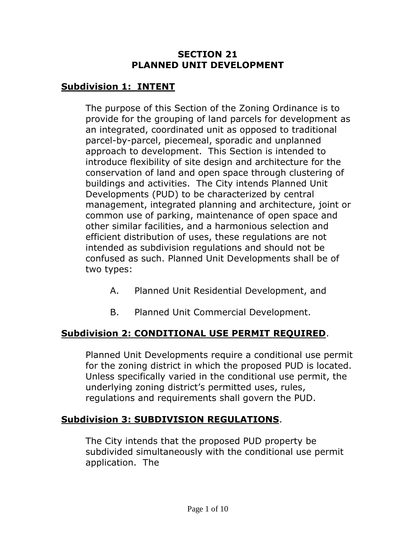### **SECTION 21 PLANNED UNIT DEVELOPMENT**

# **Subdivision 1: INTENT**

The purpose of this Section of the Zoning Ordinance is to provide for the grouping of land parcels for development as an integrated, coordinated unit as opposed to traditional parcel-by-parcel, piecemeal, sporadic and unplanned approach to development. This Section is intended to introduce flexibility of site design and architecture for the conservation of land and open space through clustering of buildings and activities. The City intends Planned Unit Developments (PUD) to be characterized by central management, integrated planning and architecture, joint or common use of parking, maintenance of open space and other similar facilities, and a harmonious selection and efficient distribution of uses, these regulations are not intended as subdivision regulations and should not be confused as such. Planned Unit Developments shall be of two types:

- A. Planned Unit Residential Development, and
- B. Planned Unit Commercial Development.

# **Subdivision 2: CONDITIONAL USE PERMIT REQUIRED**.

Planned Unit Developments require a conditional use permit for the zoning district in which the proposed PUD is located. Unless specifically varied in the conditional use permit, the underlying zoning district's permitted uses, rules, regulations and requirements shall govern the PUD.

# **Subdivision 3: SUBDIVISION REGULATIONS**.

The City intends that the proposed PUD property be subdivided simultaneously with the conditional use permit application. The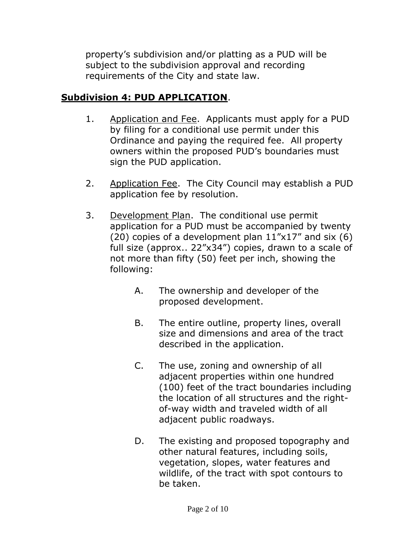property's subdivision and/or platting as a PUD will be subject to the subdivision approval and recording requirements of the City and state law.

### **Subdivision 4: PUD APPLICATION**.

- 1. Application and Fee. Applicants must apply for a PUD by filing for a conditional use permit under this Ordinance and paying the required fee. All property owners within the proposed PUD's boundaries must sign the PUD application.
- 2. Application Fee. The City Council may establish a PUD application fee by resolution.
- 3. Development Plan. The conditional use permit application for a PUD must be accompanied by twenty (20) copies of a development plan  $11''x17''$  and six (6) full size (approx.. 22"x34") copies, drawn to a scale of not more than fifty (50) feet per inch, showing the following:
	- A. The ownership and developer of the proposed development.
	- B. The entire outline, property lines, overall size and dimensions and area of the tract described in the application.
	- C. The use, zoning and ownership of all adjacent properties within one hundred (100) feet of the tract boundaries including the location of all structures and the rightof-way width and traveled width of all adjacent public roadways.
	- D. The existing and proposed topography and other natural features, including soils, vegetation, slopes, water features and wildlife, of the tract with spot contours to be taken.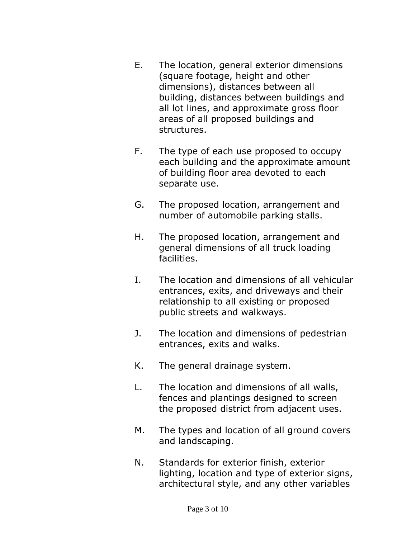- E. The location, general exterior dimensions (square footage, height and other dimensions), distances between all building, distances between buildings and all lot lines, and approximate gross floor areas of all proposed buildings and structures.
- F. The type of each use proposed to occupy each building and the approximate amount of building floor area devoted to each separate use.
- G. The proposed location, arrangement and number of automobile parking stalls.
- H. The proposed location, arrangement and general dimensions of all truck loading facilities.
- I. The location and dimensions of all vehicular entrances, exits, and driveways and their relationship to all existing or proposed public streets and walkways.
- J. The location and dimensions of pedestrian entrances, exits and walks.
- K. The general drainage system.
- L. The location and dimensions of all walls, fences and plantings designed to screen the proposed district from adjacent uses.
- M. The types and location of all ground covers and landscaping.
- N. Standards for exterior finish, exterior lighting, location and type of exterior signs, architectural style, and any other variables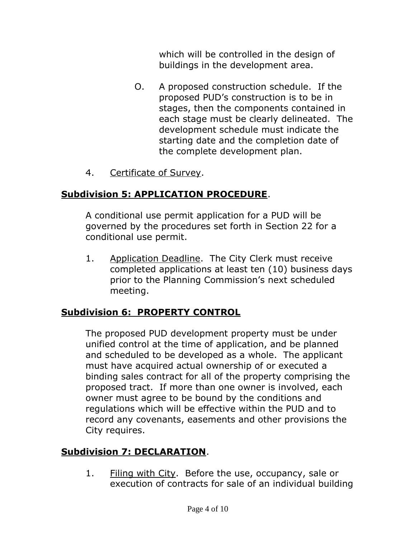which will be controlled in the design of buildings in the development area.

- O. A proposed construction schedule. If the proposed PUD's construction is to be in stages, then the components contained in each stage must be clearly delineated. The development schedule must indicate the starting date and the completion date of the complete development plan.
- 4. Certificate of Survey.

# **Subdivision 5: APPLICATION PROCEDURE**.

A conditional use permit application for a PUD will be governed by the procedures set forth in Section 22 for a conditional use permit.

1. Application Deadline. The City Clerk must receive completed applications at least ten (10) business days prior to the Planning Commission's next scheduled meeting.

# **Subdivision 6: PROPERTY CONTROL**

The proposed PUD development property must be under unified control at the time of application, and be planned and scheduled to be developed as a whole. The applicant must have acquired actual ownership of or executed a binding sales contract for all of the property comprising the proposed tract. If more than one owner is involved, each owner must agree to be bound by the conditions and regulations which will be effective within the PUD and to record any covenants, easements and other provisions the City requires.

# **Subdivision 7: DECLARATION**.

1. Filing with City. Before the use, occupancy, sale or execution of contracts for sale of an individual building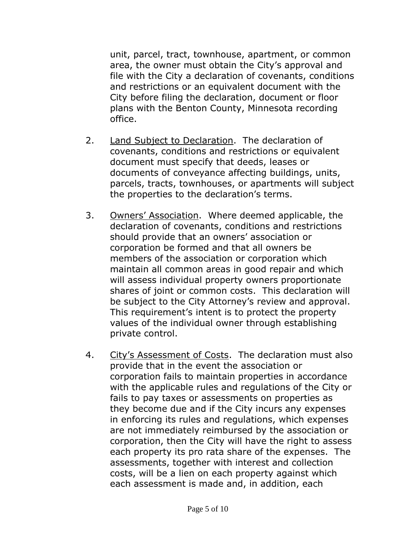unit, parcel, tract, townhouse, apartment, or common area, the owner must obtain the City's approval and file with the City a declaration of covenants, conditions and restrictions or an equivalent document with the City before filing the declaration, document or floor plans with the Benton County, Minnesota recording office.

- 2. Land Subject to Declaration. The declaration of covenants, conditions and restrictions or equivalent document must specify that deeds, leases or documents of conveyance affecting buildings, units, parcels, tracts, townhouses, or apartments will subject the properties to the declaration's terms.
- 3. Owners' Association. Where deemed applicable, the declaration of covenants, conditions and restrictions should provide that an owners' association or corporation be formed and that all owners be members of the association or corporation which maintain all common areas in good repair and which will assess individual property owners proportionate shares of joint or common costs. This declaration will be subject to the City Attorney's review and approval. This requirement's intent is to protect the property values of the individual owner through establishing private control.
- 4. City's Assessment of Costs. The declaration must also provide that in the event the association or corporation fails to maintain properties in accordance with the applicable rules and regulations of the City or fails to pay taxes or assessments on properties as they become due and if the City incurs any expenses in enforcing its rules and regulations, which expenses are not immediately reimbursed by the association or corporation, then the City will have the right to assess each property its pro rata share of the expenses. The assessments, together with interest and collection costs, will be a lien on each property against which each assessment is made and, in addition, each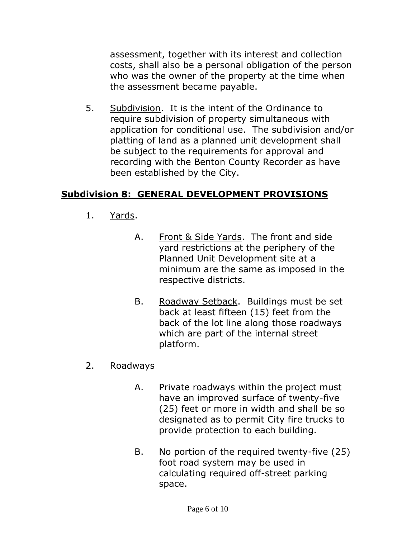assessment, together with its interest and collection costs, shall also be a personal obligation of the person who was the owner of the property at the time when the assessment became payable.

5. Subdivision. It is the intent of the Ordinance to require subdivision of property simultaneous with application for conditional use. The subdivision and/or platting of land as a planned unit development shall be subject to the requirements for approval and recording with the Benton County Recorder as have been established by the City.

### **Subdivision 8: GENERAL DEVELOPMENT PROVISIONS**

- 1. Yards.
	- A. Front & Side Yards. The front and side yard restrictions at the periphery of the Planned Unit Development site at a minimum are the same as imposed in the respective districts.
	- B. Roadway Setback. Buildings must be set back at least fifteen (15) feet from the back of the lot line along those roadways which are part of the internal street platform.

#### 2. Roadways

- A. Private roadways within the project must have an improved surface of twenty-five (25) feet or more in width and shall be so designated as to permit City fire trucks to provide protection to each building.
- B. No portion of the required twenty-five (25) foot road system may be used in calculating required off-street parking space.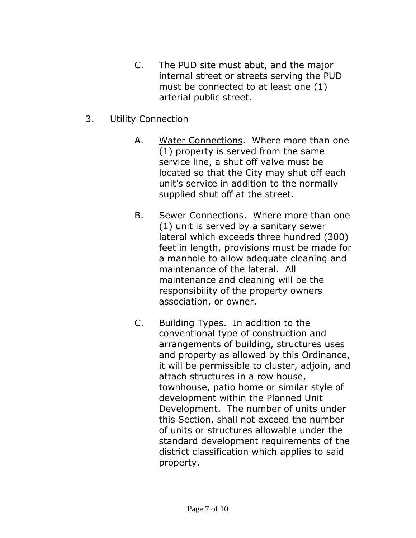- C. The PUD site must abut, and the major internal street or streets serving the PUD must be connected to at least one (1) arterial public street.
- 3. Utility Connection
	- A. Water Connections. Where more than one (1) property is served from the same service line, a shut off valve must be located so that the City may shut off each unit's service in addition to the normally supplied shut off at the street.
	- B. Sewer Connections. Where more than one (1) unit is served by a sanitary sewer lateral which exceeds three hundred (300) feet in length, provisions must be made for a manhole to allow adequate cleaning and maintenance of the lateral. All maintenance and cleaning will be the responsibility of the property owners association, or owner.
	- C. Building Types. In addition to the conventional type of construction and arrangements of building, structures uses and property as allowed by this Ordinance, it will be permissible to cluster, adjoin, and attach structures in a row house, townhouse, patio home or similar style of development within the Planned Unit Development. The number of units under this Section, shall not exceed the number of units or structures allowable under the standard development requirements of the district classification which applies to said property.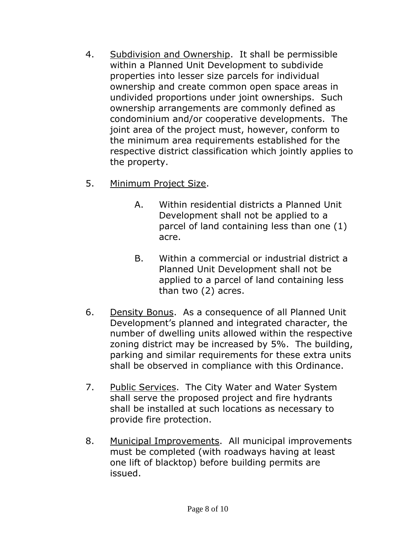- 4. Subdivision and Ownership. It shall be permissible within a Planned Unit Development to subdivide properties into lesser size parcels for individual ownership and create common open space areas in undivided proportions under joint ownerships. Such ownership arrangements are commonly defined as condominium and/or cooperative developments. The joint area of the project must, however, conform to the minimum area requirements established for the respective district classification which jointly applies to the property.
- 5. Minimum Project Size.
	- A. Within residential districts a Planned Unit Development shall not be applied to a parcel of land containing less than one (1) acre.
	- B. Within a commercial or industrial district a Planned Unit Development shall not be applied to a parcel of land containing less than two (2) acres.
- 6. Density Bonus. As a consequence of all Planned Unit Development's planned and integrated character, the number of dwelling units allowed within the respective zoning district may be increased by 5%. The building, parking and similar requirements for these extra units shall be observed in compliance with this Ordinance.
- 7. Public Services. The City Water and Water System shall serve the proposed project and fire hydrants shall be installed at such locations as necessary to provide fire protection.
- 8. Municipal Improvements. All municipal improvements must be completed (with roadways having at least one lift of blacktop) before building permits are issued.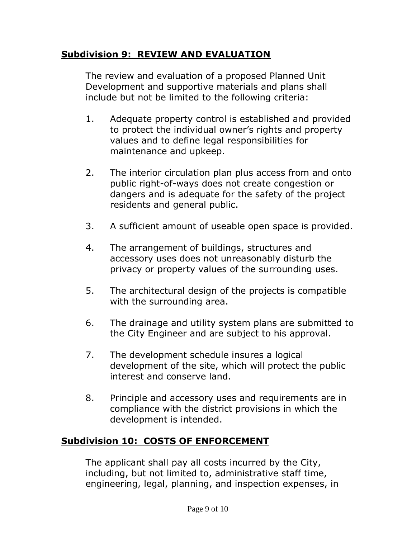# **Subdivision 9: REVIEW AND EVALUATION**

The review and evaluation of a proposed Planned Unit Development and supportive materials and plans shall include but not be limited to the following criteria:

- 1. Adequate property control is established and provided to protect the individual owner's rights and property values and to define legal responsibilities for maintenance and upkeep.
- 2. The interior circulation plan plus access from and onto public right-of-ways does not create congestion or dangers and is adequate for the safety of the project residents and general public.
- 3. A sufficient amount of useable open space is provided.
- 4. The arrangement of buildings, structures and accessory uses does not unreasonably disturb the privacy or property values of the surrounding uses.
- 5. The architectural design of the projects is compatible with the surrounding area.
- 6. The drainage and utility system plans are submitted to the City Engineer and are subject to his approval.
- 7. The development schedule insures a logical development of the site, which will protect the public interest and conserve land.
- 8. Principle and accessory uses and requirements are in compliance with the district provisions in which the development is intended.

# **Subdivision 10: COSTS OF ENFORCEMENT**

The applicant shall pay all costs incurred by the City, including, but not limited to, administrative staff time, engineering, legal, planning, and inspection expenses, in